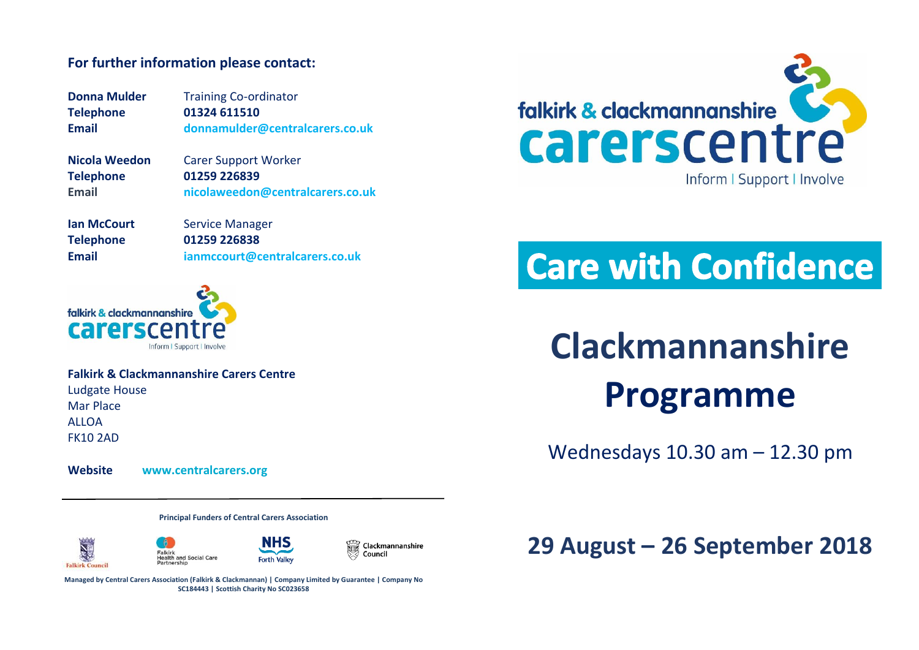#### **For further information please contact:**

**Donna Mulder Training Co-ordinator Telephone 01324 611510 Email [donnamulder@centralcarers.co.uk](mailto:donnamulder@centralcarers.co.uk)**

**Nicola Weedon** Carer Support Worker **Telephone 01259 226839 Email nicolaweedon@centralcarers.co.uk**

**Ian McCourt** Service Manager **Telephone 01259 226838 Email [ianmccourt@centralcarers.co.uk](mailto:ianmccourt@centralcarers.co.uk)**

falkirk & clackmannanshire **Carersce** Inform I Support | Involve

**Falkirk & Clackmannanshire Carers Centre** Ludgate House Mar Place **ALLOA** FK10 2AD

**Website [www.centralcarers.org](http://www.centralcarers.org/)**

**Principal Funders of Central Carers Association**







Clackmannanshire Council

**Managed by Central Carers Association (Falkirk & Clackmannan) | Company Limited by Guarantee | Company No SC184443 | Scottish Charity No SC023658**



## **Care with Confidence**

# **Clackmannanshire Programme**

Wednesdays 10.30 am – 12.30 pm

## **29 August – 26 September 2018**